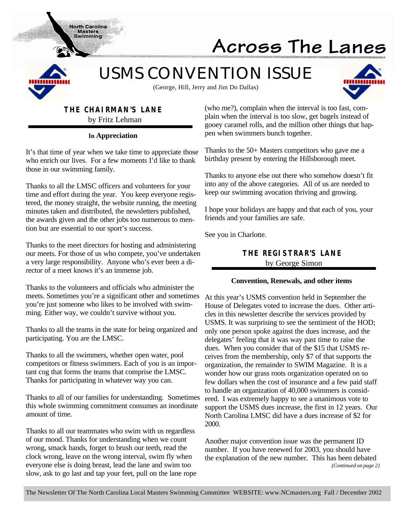

# Across The Lanes

*USMS CONVENTION ISSUE*



(George, Hill, Jerry and Jim Do Dallas)

## **THE CHAIRMAN'S LANE**

**North Carolina Masters Swimming** 

by Fritz Lehman

#### **In Appreciation**

It's that time of year when we take time to appreciate those who enrich our lives. For a few moments I'd like to thank those in our swimming family.

Thanks to all the LMSC officers and volunteers for your time and effort during the year. You keep everyone registered, the money straight, the website running, the meeting minutes taken and distributed, the newsletters published, the awards given and the other jobs too numerous to mention but are essential to our sport's success.

Thanks to the meet directors for hosting and administering our meets. For those of us who compete, you've undertaken a very large responsibility. Anyone who's ever been a director of a meet knows it's an immense job.

Thanks to the volunteers and officials who administer the meets. Sometimes you're a significant other and sometimes you're just someone who likes to be involved with swimming. Either way, we couldn't survive without you.

Thanks to all the teams in the state for being organized and participating. You are the LMSC.

Thanks to all the swimmers, whether open water, pool competitors or fitness swimmers. Each of you is an important cog that forms the teams that comprise the LMSC. Thanks for participating in whatever way you can.

Thanks to all of our families for understanding. Sometimes this whole swimming commitment consumes an inordinate amount of time.

Thanks to all our teammates who swim with us regardless of our mood. Thanks for understanding when we count wrong, smack hands, forget to brush our teeth, read the clock wrong, leave on the wrong interval, swim fly when everyone else is doing breast, lead the lane and swim too slow, ask to go last and tap your feet, pull on the lane rope (who me?), complain when the interval is too fast, complain when the interval is too slow, get bagels instead of gooey caramel rolls, and the million other things that happen when swimmers bunch together.

Thanks to the 50+ Masters competitors who gave me a birthday present by entering the Hillsborough meet.

Thanks to anyone else out there who somehow doesn't fit into any of the above categories. All of us are needed to keep our swimming avocation thriving and growing.

I hope your holidays are happy and that each of you, your friends and your families are safe.

See you in Charlotte.

#### **THE REGISTRAR'S LANE** by George Simon

#### **Convention, Renewals, and other items**

At this year's USMS convention held in September the House of Delegates voted to increase the dues. Other articles in this newsletter describe the services provided by USMS. It was surprising to see the sentiment of the HOD; only one person spoke against the dues increase, and the delegates' feeling that it was way past time to raise the dues. When you consider that of the \$15 that USMS receives from the membership, only \$7 of that supports the organization, the remainder to SWIM Magazine. It is a wonder how our grass roots organization operated on so few dollars when the cost of insurance and a few paid staff to handle an organization of 40,000 swimmers is considered. I was extremely happy to see a unanimous vote to support the USMS dues increase, the first in 12 years. Our North Carolina LMSC did have a dues increase of \$2 for 2000.

Another major convention issue was the permanent ID number. If you have renewed for 2003, you should have the explanation of the new number. This has been debated *(Continued on page 2)*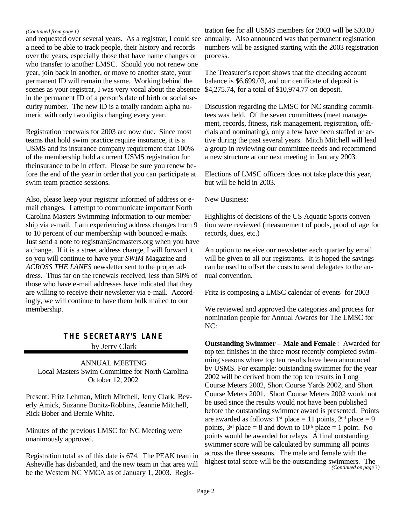#### *(Continued from page 1)*

and requested over several years. As a registrar, I could see a need to be able to track people, their history and records over the years, especially those that have name changes or who transfer to another LMSC. Should you not renew one year, join back in another, or move to another state, your permanent ID will remain the same. Working behind the scenes as your registrar, I was very vocal about the absence in the permanent ID of a person's date of birth or social security number. The new ID is a totally random alpha numeric with only two digits changing every year.

Registration renewals for 2003 are now due. Since most teams that hold swim practice require insurance, it is a USMS and its insurance company requirement that 100% of the membership hold a current USMS registration for theinsurance to be in effect. Please be sure you renew before the end of the year in order that you can participate at swim team practice sessions.

Also, please keep your registrar informed of address or email changes. I attempt to communicate important North Carolina Masters Swimming information to our membership via e-mail. I am experiencing address changes from 9 to 10 percent of our membership with bounced e-mails. Just send a note to registrar@ncmasters.org when you have a change. If it is a street address change, I will forward it so you will continue to have your *SWIM* Magazine and *ACROSS THE LANES* newsletter sent to the proper address. Thus far on the renewals received, less than 50% of those who have e-mail addresses have indicated that they are willing to receive their newsletter via e-mail. Accordingly, we will continue to have them bulk mailed to our membership.

#### **THE SECRETARY'S LANE** by Jerry Clark

ANNUAL MEETING Local Masters Swim Committee for North Carolina October 12, 2002

Present: Fritz Lehman, Mitch Mitchell, Jerry Clark, Beverly Amick, Suzanne Bonitz-Robbins, Jeannie Mitchell, Rick Bober and Bernie White.

Minutes of the previous LMSC for NC Meeting were unanimously approved.

Registration total as of this date is 674. The PEAK team in Asheville has disbanded, and the new team in that area will be the Western NC YMCA as of January 1, 2003. Regis-

tration fee for all USMS members for 2003 will be \$30.00 annually. Also announced was that permanent registration numbers will be assigned starting with the 2003 registration process.

The Treasurer's report shows that the checking account balance is \$6,699.03, and our certificate of deposit is \$4,275.74, for a total of \$10,974.77 on deposit.

Discussion regarding the LMSC for NC standing committees was held. Of the seven committees (meet management, records, fitness, risk management, registration, officials and nominating), only a few have been staffed or active during the past several years. Mitch Mitchell will lead a group in reviewing our committee needs and recommend a new structure at our next meeting in January 2003.

Elections of LMSC officers does not take place this year, but will be held in 2003.

New Business:

Highlights of decisions of the US Aquatic Sports convention were reviewed (measurement of pools, proof of age for records, dues, etc.)

An option to receive our newsletter each quarter by email will be given to all our registrants. It is hoped the savings can be used to offset the costs to send delegates to the annual convention.

Fritz is composing a LMSC calendar of events for 2003

We reviewed and approved the categories and process for nomination people for Annual Awards for The LMSC for NC:

**Outstanding Swimmer – Male and Female** : Awarded for top ten finishes in the three most recently completed swimming seasons where top ten results have been announced by USMS. For example: outstanding swimmer for the year 2002 will be derived from the top ten results in Long Course Meters 2002, Short Course Yards 2002, and Short Course Meters 2001. Short Course Meters 2002 would not be used since the results would not have been published before the outstanding swimmer award is presented. Points are awarded as follows: 1<sup>st</sup> place = 11 points,  $2<sup>nd</sup>$  place = 9 points,  $3<sup>rd</sup>$  place = 8 and down to 10<sup>th</sup> place = 1 point. No points would be awarded for relays. A final outstanding swimmer score will be calculated by summing all points across the three seasons. The male and female with the highest total score will be the outstanding swimmers. The *(Continued on page 3)*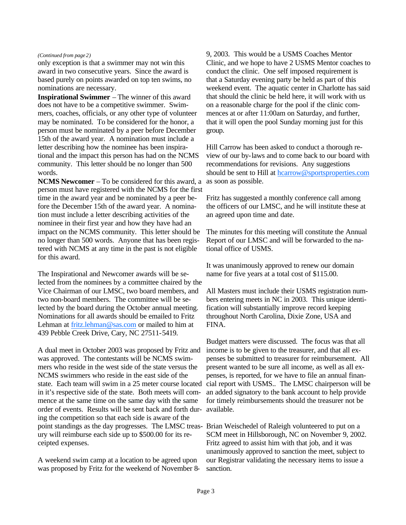#### *(Continued from page 2)*

only exception is that a swimmer may not win this award in two consecutive years. Since the award is based purely on points awarded on top ten swims, no nominations are necessary.

**Inspirational Swimmer** – The winner of this award does not have to be a competitive swimmer. Swimmers, coaches, officials, or any other type of volunteer may be nominated. To be considered for the honor, a person must be nominated by a peer before December 15th of the award year. A nomination must include a letter describing how the nominee has been inspirational and the impact this person has had on the NCMS community. This letter should be no longer than 500 words.

**NCMS Newcomer** – To be considered for this award, a person must have registered with the NCMS for the first time in the award year and be nominated by a peer before the December 15th of the award year. A nomination must include a letter describing activities of the nominee in their first year and how they have had an impact on the NCMS community. This letter should be no longer than 500 words. Anyone that has been registered with NCMS at any time in the past is not eligible for this award.

The Inspirational and Newcomer awards will be selected from the nominees by a committee chaired by the Vice Chairman of our LMSC, two board members, and two non-board members. The committee will be selected by the board during the October annual meeting. Nominations for all awards should be emailed to Fritz Lehman at fritz.lehman@sas.com or mailed to him at 439 Pebble Creek Drive, Cary, NC 27511-5419.

A dual meet in October 2003 was proposed by Fritz and was approved. The contestants will be NCMS swimmers who reside in the west side of the state versus the NCMS swimmers who reside in the east side of the state. Each team will swim in a 25 meter course located in it's respective side of the state. Both meets will commence at the same time on the same day with the same order of events. Results will be sent back and forth dur-available. ing the competition so that each side is aware of the point standings as the day progresses. The LMSC treas-Brian Weischedel of Raleigh volunteered to put on a ury will reimburse each side up to \$500.00 for its receipted expenses.

A weekend swim camp at a location to be agreed upon was proposed by Fritz for the weekend of November 89, 2003. This would be a USMS Coaches Mentor Clinic, and we hope to have 2 USMS Mentor coaches to conduct the clinic. One self imposed requirement is that a Saturday evening party be held as part of this weekend event. The aquatic center in Charlotte has said that should the clinic be held here, it will work with us on a reasonable charge for the pool if the clinic commences at or after 11:00am on Saturday, and further, that it will open the pool Sunday morning just for this group.

Hill Carrow has been asked to conduct a thorough review of our by-laws and to come back to our board with recommendations for revisions. Any suggestions should be sent to Hill at hcarrow@sportsproperties.com as soon as possible.

Fritz has suggested a monthly conference call among the officers of our LMSC, and he will institute these at an agreed upon time and date.

The minutes for this meeting will constitute the Annual Report of our LMSC and will be forwarded to the national office of USMS.

It was unanimously approved to renew our domain name for five years at a total cost of \$115.00.

All Masters must include their USMS registration numbers entering meets in NC in 2003. This unique identification will substantially improve record keeping throughout North Carolina, Dixie Zone, USA and FINA.

Budget matters were discussed. The focus was that all income is to be given to the treasurer, and that all expenses be submitted to treasurer for reimbursement. All present wanted to be sure all income, as well as all expenses, is reported, for we have to file an annual financial report with USMS.. The LMSC chairperson will be an added signatory to the bank account to help provide for timely reimbursements should the treasurer not be

SCM meet in Hillsborough, NC on November 9, 2002. Fritz agreed to assist him with that job, and it was unanimously approved to sanction the meet, subject to our Registrar validating the necessary items to issue a sanction.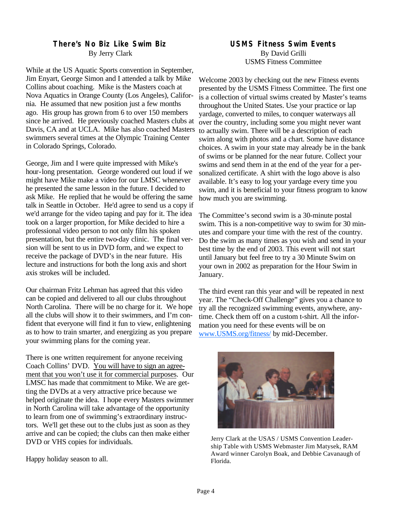## **There's No Biz Like Swim Biz**

By Jerry Clark

While at the US Aquatic Sports convention in September, Jim Enyart, George Simon and I attended a talk by Mike Collins about coaching. Mike is the Masters coach at Nova Aquatics in Orange County (Los Angeles), California. He assumed that new position just a few months ago. His group has grown from 6 to over 150 members since he arrived. He previously coached Masters clubs at Davis, CA and at UCLA. Mike has also coached Masters swimmers several times at the Olympic Training Center in Colorado Springs, Colorado.

George, Jim and I were quite impressed with Mike's hour-long presentation. George wondered out loud if we might have Mike make a video for our LMSC whenever he presented the same lesson in the future. I decided to ask Mike. He replied that he would be offering the same talk in Seattle in October. He'd agree to send us a copy if we'd arrange for the video taping and pay for it. The idea took on a larger proportion, for Mike decided to hire a professional video person to not only film his spoken presentation, but the entire two-day clinic. The final version will be sent to us in DVD form, and we expect to receive the package of DVD's in the near future. His lecture and instructions for both the long axis and short axis strokes will be included.

Our chairman Fritz Lehman has agreed that this video can be copied and delivered to all our clubs throughout North Carolina. There will be no charge for it. We hope all the clubs will show it to their swimmers, and I'm confident that everyone will find it fun to view, enlightening as to how to train smarter, and energizing as you prepare your swimming plans for the coming year.

There is one written requirement for anyone receiving Coach Collins' DVD. You will have to sign an agreement that you won't use it for commercial purposes. Our LMSC has made that commitment to Mike. We are getting the DVDs at a very attractive price because we helped originate the idea. I hope every Masters swimmer in North Carolina will take advantage of the opportunity to learn from one of swimming's extraordinary instructors. We'll get these out to the clubs just as soon as they arrive and can be copied; the clubs can then make either DVD or VHS copies for individuals.

Happy holiday season to all.

#### **USMS Fitness Swim Events** By David Grilli USMS Fitness Committee

Welcome 2003 by checking out the new Fitness events presented by the USMS Fitness Committee. The first one is a collection of virtual swims created by Master's teams throughout the United States. Use your practice or lap yardage, converted to miles, to conquer waterways all over the country, including some you might never want to actually swim. There will be a description of each swim along with photos and a chart. Some have distance choices. A swim in your state may already be in the bank of swims or be planned for the near future. Collect your swims and send them in at the end of the year for a personalized certificate. A shirt with the logo above is also available. It's easy to log your yardage every time you swim, and it is beneficial to your fitness program to know how much you are swimming.

The Committee's second swim is a 30-minute postal swim. This is a non-competitive way to swim for 30 minutes and compare your time with the rest of the country. Do the swim as many times as you wish and send in your best time by the end of 2003. This event will not start until January but feel free to try a 30 Minute Swim on your own in 2002 as preparation for the Hour Swim in January.

The third event ran this year and will be repeated in next year. The "Check-Off Challenge" gives you a chance to try all the recognized swimming events, anywhere, anytime. Check them off on a custom t-shirt. All the information you need for these events will be on www.USMS.org/fitness/ by mid-December.



Jerry Clark at the USAS / USMS Convention Leadership Table with USMS Webmaster Jim Matysek, RAM Award winner Carolyn Boak, and Debbie Cavanaugh of Florida.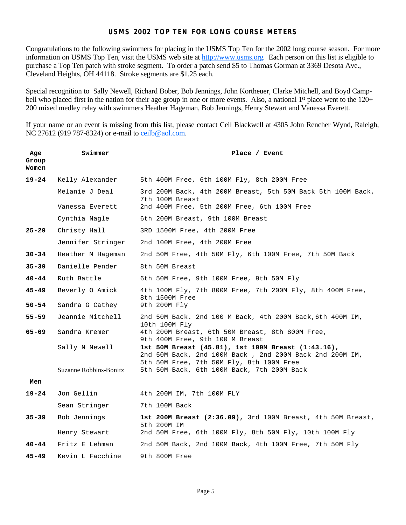#### **USMS 2002 TOP TEN FOR LONG COURSE METERS**

Congratulations to the following swimmers for placing in the USMS Top Ten for the 2002 long course season. For more information on USMS Top Ten, visit the USMS web site at http://www.usms.org. Each person on this list is eligible to purchase a Top Ten patch with stroke segment. To order a patch send \$5 to Thomas Gorman at 3369 Desota Ave., Cleveland Heights, OH 44118. Stroke segments are \$1.25 each.

Special recognition to Sally Newell, Richard Bober, Bob Jennings, John Kortheuer, Clarke Mitchell, and Boyd Campbell who placed first in the nation for their age group in one or more events. Also, a national  $1<sup>st</sup>$  place went to the  $120+$ 200 mixed medley relay with swimmers Heather Hageman, Bob Jennings, Henry Stewart and Vanessa Everett.

If your name or an event is missing from this list, please contact Ceil Blackwell at 4305 John Rencher Wynd, Raleigh, NC 27612 (919 787-8324) or e-mail to ceilb@aol.com.

| Age<br>Group<br>Women | Swimmer                | Place / Event                                                                                                                                             |
|-----------------------|------------------------|-----------------------------------------------------------------------------------------------------------------------------------------------------------|
| $19 - 24$             | Kelly Alexander        | 5th 400M Free, 6th 100M Fly, 8th 200M Free                                                                                                                |
|                       | Melanie J Deal         | 3rd 200M Back, 4th 200M Breast, 5th 50M Back 5th 100M Back,<br>7th 100M Breast                                                                            |
|                       | Vanessa Everett        | 2nd 400M Free, 5th 200M Free, 6th 100M Free                                                                                                               |
|                       | Cynthia Nagle          | 6th 200M Breast, 9th 100M Breast                                                                                                                          |
| 25–29                 | Christy Hall           | 3RD 1500M Free, 4th 200M Free                                                                                                                             |
|                       | Jennifer Stringer      | 2nd 100M Free, 4th 200M Free                                                                                                                              |
| $30 - 34$             | Heather M Hageman      | 2nd 50M Free, 4th 50M Fly, 6th 100M Free, 7th 50M Back                                                                                                    |
| $35 - 39$             | Danielle Pender        | 8th 50M Breast                                                                                                                                            |
| $40 - 44$             | Ruth Battle            | 6th 50M Free, 9th 100M Free, 9th 50M Fly                                                                                                                  |
| 45-49                 | Beverly O Amick        | 4th 100M Fly, 7th 800M Free, 7th 200M Fly, 8th 400M Free,<br>8th 1500M Free                                                                               |
| $50 - 54$             | Sandra G Cathey        | 9th 200M Fly                                                                                                                                              |
| $55 - 59$             | Jeannie Mitchell       | 2nd 50M Back. 2nd 100 M Back, 4th 200M Back, 6th 400M IM,<br>10th 100M Fly                                                                                |
| 65-69                 | Sandra Kremer          | 4th 200M Breast, 6th 50M Breast, 8th 800M Free,<br>9th 400M Free, 9th 100 M Breast                                                                        |
|                       | Sally N Newell         | 1st 50M Breast (45.81), 1st 100M Breast (1:43.16),<br>2nd 50M Back, 2nd 100M Back, 2nd 200M Back 2nd 200M IM,<br>5th 50M Free, 7th 50M Fly, 8th 100M Free |
|                       | Suzanne Robbins-Bonitz | 5th 50M Back, 6th 100M Back, 7th 200M Back                                                                                                                |
| Men                   |                        |                                                                                                                                                           |
| 19-24                 | Jon Gellin             | 4th 200M IM, 7th 100M FLY                                                                                                                                 |
|                       | Sean Stringer          | 7th 100M Back                                                                                                                                             |
| $35 - 39$             | Bob Jennings           | 1st 200M Breast (2:36.09), 3rd 100M Breast, 4th 50M Breast,<br>5th 200M IM                                                                                |
|                       | Henry Stewart          | 2nd 50M Free, 6th 100M Fly, 8th 50M Fly, 10th 100M Fly                                                                                                    |
| $40 - 44$             | Fritz E Lehman         | 2nd 50M Back, 2nd 100M Back, 4th 100M Free, 7th 50M Fly                                                                                                   |
| $45 - 49$             | Kevin L Facchine       | 9th 800M Free                                                                                                                                             |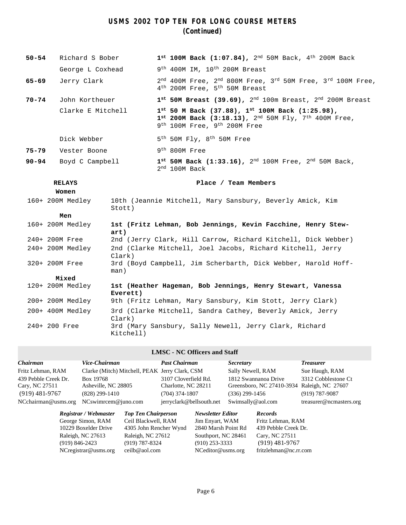### **USMS 2002 TOP TEN FOR LONG COURSE METERS (Continued)**

| $50 - 54$     | Richard S Bober   |                                                                        | $1^{st}$ 100M Back (1:07.84), 2 <sup>nd</sup> 50M Back, 4 <sup>th</sup> 200M Back                                                                                                                      |  |
|---------------|-------------------|------------------------------------------------------------------------|--------------------------------------------------------------------------------------------------------------------------------------------------------------------------------------------------------|--|
|               | George L Coxhead  |                                                                        | 9 <sup>th</sup> 400M IM, 10 <sup>th</sup> 200M Breast                                                                                                                                                  |  |
| 65-69         | Jerry Clark       |                                                                        | $2nd$ 400M Free, $2nd$ 800M Free, $3rd$ 50M Free, $3rd$ 100M Free,<br>4 <sup>th</sup> 200M Free, 5 <sup>th</sup> 50M Breast                                                                            |  |
| $70 - 74$     | John Kortheuer    |                                                                        | $1^{st}$ 50M Breast (39.69), $2^{nd}$ 100m Breast, $2^{nd}$ 200M Breast                                                                                                                                |  |
|               | Clarke E Mitchell |                                                                        | $1^{st}$ 50 M Back (37.88), $1^{st}$ 100M Back (1:25.98),<br>$1^{st}$ 200M Back (3:18.13), 2 <sup>nd</sup> 50M Fly, 7 <sup>th</sup> 400M Free,<br>9 <sup>th</sup> 100M Free, 9 <sup>th</sup> 200M Free |  |
|               | Dick Webber       |                                                                        | $5^{\text{th}}$ 50M Fly, 8 <sup>th</sup> 50M Free                                                                                                                                                      |  |
| 75-79         | Vester Boone      |                                                                        | $9th 800M$ Free                                                                                                                                                                                        |  |
| $90 - 94$     | Boyd C Campbell   |                                                                        | $1^{st}$ 50M Back (1:33.16), 2 <sup>nd</sup> 100M Free, 2 <sup>nd</sup> 50M Back,<br>$2nd 100M$ Back                                                                                                   |  |
|               | <b>RELAYS</b>     |                                                                        | Place / Team Members                                                                                                                                                                                   |  |
|               | Women             |                                                                        |                                                                                                                                                                                                        |  |
|               | 160+ 200M Medley  | Stott)                                                                 | 10th (Jeannie Mitchell, Mary Sansbury, Beverly Amick, Kim                                                                                                                                              |  |
|               | Men               |                                                                        |                                                                                                                                                                                                        |  |
|               | 160+ 200M Medley  | art)                                                                   | 1st (Fritz Lehman, Bob Jennings, Kevin Facchine, Henry Stew-                                                                                                                                           |  |
|               | 240+ 200M Free    | 2nd (Jerry Clark, Hill Carrow, Richard Kitchell, Dick Webber)          |                                                                                                                                                                                                        |  |
|               | 240+ 200M Medley  | 2nd (Clarke Mitchell, Joel Jacobs, Richard Kitchell, Jerry<br>Clark)   |                                                                                                                                                                                                        |  |
|               | 320+ 200M Free    | 3rd (Boyd Campbell, Jim Scherbarth, Dick Webber, Harold Hoff-<br>man)  |                                                                                                                                                                                                        |  |
|               | Mixed             |                                                                        |                                                                                                                                                                                                        |  |
|               | 120+ 200M Medley  | 1st (Heather Hageman, Bob Jennings, Henry Stewart, Vanessa<br>Everett) |                                                                                                                                                                                                        |  |
|               | 200+ 200M Medley  | 9th (Fritz Lehman, Mary Sansbury, Kim Stott, Jerry Clark)              |                                                                                                                                                                                                        |  |
|               | 200+ 400M Medley  | Clark)                                                                 | 3rd (Clarke Mitchell, Sandra Cathey, Beverly Amick, Jerry                                                                                                                                              |  |
| 240+ 200 Free |                   | Kitchell)                                                              | 3rd (Mary Sansbury, Sally Newell, Jerry Clark, Richard                                                                                                                                                 |  |

#### **LMSC - NC Officers and Staff**

| <b>Chairman</b>      | Vice-Chairman                                  |                            | <b>Past Chairman</b>     |                          | <b>Secretary</b>  |                           | <b>Treasurer</b>        |
|----------------------|------------------------------------------------|----------------------------|--------------------------|--------------------------|-------------------|---------------------------|-------------------------|
| Fritz Lehman, RAM    | Clarke (Mitch) Mitchell, PEAK Jerry Clark, CSM |                            |                          |                          | Sally Newell, RAM |                           | Sue Haugh, RAM          |
| 439 Pebble Creek Dr. | Box 19768                                      |                            | 3107 Cloverfield Rd.     |                          |                   | 1812 Swannanoa Drive      | 3312 Cobblestone Ct     |
| Cary, NC 27511       | Asheville, NC 28805                            |                            | Charlotte, NC 28211      |                          |                   | Greensboro, NC 27410-3934 | Raleigh, NC 27607       |
| $(919)$ 481-9767     | (828) 299-1410                                 |                            | $(704)$ 374-1807         |                          | $(336)$ 299-1456  |                           | $(919) 787 - 9087$      |
| NCchairman@usms.org  | NCswimrcem@juno.com                            |                            | jerryclark@bellsouth.net |                          |                   | Swimsally@aol.com         | treasurer@ncmasters.org |
|                      | Registrar / Webmaster                          | <b>Top Ten Chairperson</b> |                          | <b>Newsletter Editor</b> |                   | <b>Records</b>            |                         |
|                      | George Simon, RAM                              | Ceil Blackwell, RAM        |                          | Jim Enyart, WAM          |                   | Fritz Lehman, RAM         |                         |
|                      | 10229 Boxelder Drive                           | 4305 John Rencher Wynd     |                          | 2840 Marsh Point Rd      |                   | 439 Pebble Creek Dr.      |                         |
|                      | Raleigh, NC 27613                              | Raleigh, NC 27612          |                          | Southport, NC 28461      |                   | Cary, NC 27511            |                         |
| $(919) 846 - 2423$   |                                                | $(919) 787 - 8324$         |                          | $(910)$ 253-3333         |                   | $(919)$ 481-9767          |                         |
|                      | $NC$ registrar@usms.org                        | ceilb@aol.com              |                          | NCeditor@usms.org        |                   | fritzlehman@nc.rr.com     |                         |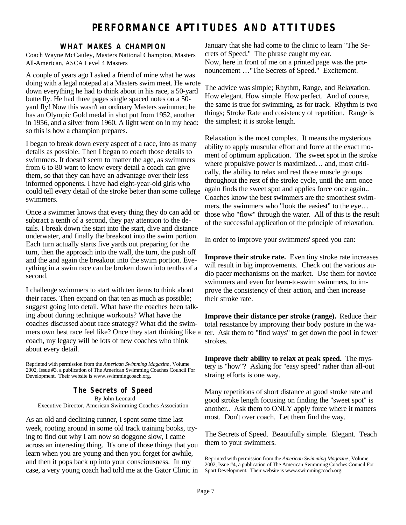## **PERFORMANCE APTITUDES AND ATTITUDES**

#### **WHAT MAKES A CHAMPION**

Coach Wayne McCauley, Masters National Champion, Masters All-American, ASCA Level 4 Masters

A couple of years ago I asked a friend of mine what he was doing with a legal notepad at a Masters swim meet. He wrote down everything he had to think about in his race, a 50-yard butterfly. He had three pages single spaced notes on a 50 yard fly! Now this wasn't an ordinary Masters swimmer; he has an Olympic Gold medal in shot put from 1952, another in 1956, and a silver from 1960. A light went on in my head: so this is how a champion prepares.

I began to break down every aspect of a race, into as many details as possible. Then I began to coach those details to swimmers. It doesn't seem to matter the age, as swimmers from 6 to 80 want to know every detail a coach can give them, so that they can have an advantage over their less informed opponents. I have had eight-year-old girls who could tell every detail of the stroke better than some college swimmers.

Once a swimmer knows that every thing they do can add or subtract a tenth of a second, they pay attention to the details. I break down the start into the start, dive and distance underwater, and finally the breakout into the swim portion. Each turn actually starts five yards out preparing for the turn, then the approach into the wall, the turn, the push off and the and again the breakout into the swim portion. Everything in a swim race can be broken down into tenths of a second.

I challenge swimmers to start with ten items to think about their races. Then expand on that ten as much as possible; suggest going into detail. What have the coaches been talking about during technique workouts? What have the coaches discussed about race strategy? What did the swimmers own best race feel like? Once they start thinking like a coach, my legacy will be lots of new coaches who think about every detail.

Reprinted with permission from the *American Swimming Magazine*, Volume 2002, Issue #3, a publication of The American Swimming Coaches Council For Development. Their website is www.swimmingcoach.org.

**The Secrets of Speed** By John Leonard Executive Director, American Swimming Coaches Association

As an old and declining runner, I spent some time last week, rooting around in some old track training books, trying to find out why I am now so doggone slow, I came across an interesting thing. It's one of those things that you learn when you are young and then you forget for awhile, and then it pops back up into your consciousness. In my case, a very young coach had told me at the Gator Clinic in

January that she had come to the clinic to learn "The Secrets of Speed." The phrase caught my ear. Now, here in front of me on a printed page was the pronouncement …"The Secrets of Speed." Excitement.

The advice was simple; Rhythm, Range, and Relaxation. How elegant. How simple. How perfect. And of course, the same is true for swimming, as for track. Rhythm is two things; Stroke Rate and cosistency of repetition. Range is the simplest; it is stroke length.

Relaxation is the most complex. It means the mysterious ability to apply muscular effort and force at the exact moment of optimum application. The sweet spot in the stroke where propulsive power is maximized… and, most critically, the ability to relax and rest those muscle groups throughout the rest of the stroke cycle, until the arm once again finds the sweet spot and applies force once again.. Coaches know the best swimmers are the smoothest swimmers, the swimmers who "look the easiest" to the eye… those who "flow" through the water. All of this is the result of the successful application of the principle of relaxation.

In order to improve your swimmers' speed you can:

**Improve their stroke rate.** Even tiny stroke rate increases will result in big improvements. Check out the various audio pacer mechanisms on the market. Use them for novice swimmers and even for learn-to-swim swimmers, to improve the consistency of their action, and then increase their stroke rate.

**Improve their distance per stroke (range).** Reduce their total resistance by improving their body posture in the water. Ask them to "find ways" to get down the pool in fewer strokes.

**Improve their ability to relax at peak speed.** The mystery is "how"? Asking for "easy speed" rather than all-out straing efforts is one way.

Many repetitions of short distance at good stroke rate and good stroke length focusing on finding the "sweet spot" is another.. Ask them to ONLY apply force where it matters most. Don't over coach. Let them find the way.

The Secrets of Speed. Beautifully simple. Elegant. Teach them to your swimmers.

Reprinted with permission from the *American Swimming Magazine*, Volume 2002, Issue #4, a publication of The American Swimming Coaches Council For Sport Development. Their website is www.swimmingcoach.org.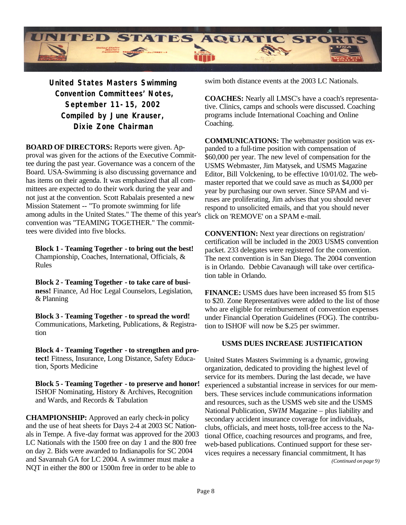

**United States Masters Swimming Convention Committees' Notes, September 11-15, 2002 Compiled by June Krauser, Dixie Zone Chairman**

**BOARD OF DIRECTORS:** Reports were given. Approval was given for the actions of the Executive Committee during the past year. Governance was a concern of the Board. USA-Swimming is also discussing governance and has items on their agenda. It was emphasized that all committees are expected to do their work during the year and not just at the convention. Scott Rabalais presented a new Mission Statement -- "To promote swimming for life among adults in the United States." The theme of this year's convention was "TEAMING TOGETHER." The committees were divided into five blocks.

**Block 1 - Teaming Together - to bring out the best!**  Championship, Coaches, International, Officials, & Rules

**Block 2 - Teaming Together - to take care of business!** Finance, Ad Hoc Legal Counselors, Legislation, & Planning

**Block 3 - Teaming Together - to spread the word!**  Communications, Marketing, Publications, & Registration

**Block 4 - Teaming Together - to strengthen and protect!** Fitness, Insurance, Long Distance, Safety Education, Sports Medicine

**Block 5 - Teaming Together - to preserve and honor!**  ISHOF Nominating, History & Archives, Recognition and Wards, and Records & Tabulation

**CHAMPIONSHIP:** Approved an early check-in policy and the use of heat sheets for Days 2-4 at 2003 SC Nationals in Tempe. A five-day format was approved for the 2003 LC Nationals with the 1500 free on day 1 and the 800 free on day 2. Bids were awarded to Indianapolis for SC 2004 and Savannah GA for LC 2004. A swimmer must make a NQT in either the 800 or 1500m free in order to be able to

swim both distance events at the 2003 LC Nationals.

**COACHES:** Nearly all LMSC's have a coach's representative. Clinics, camps and schools were discussed. Coaching programs include International Coaching and Online Coaching.

**COMMUNICATIONS:** The webmaster position was expanded to a full-time position with compensation of \$60,000 per year. The new level of compensation for the USMS Webmaster, Jim Matysek, and USMS Magazine Editor, Bill Volckening, to be effective 10/01/02. The webmaster reported that we could save as much as \$4,000 per year by purchasing our own server. Since SPAM and viruses are proliferating, Jim advises that you should never respond to unsolicited emails, and that you should never click on 'REMOVE' on a SPAM e-mail.

**CONVENTION:** Next year directions on registration/ certification will be included in the 2003 USMS convention packet. 233 delegates were registered for the convention. The next convention is in San Diego. The 2004 convention is in Orlando. Debbie Cavanaugh will take over certification table in Orlando.

**FINANCE:** USMS dues have been increased \$5 from \$15 to \$20. Zone Representatives were added to the list of those who are eligible for reimbursement of convention expenses under Financial Operation Guidelines (FOG). The contribution to ISHOF will now be \$.25 per swimmer.

#### **USMS DUES INCREASE JUSTIFICATION**

United States Masters Swimming is a dynamic, growing organization, dedicated to providing the highest level of service for its members. During the last decade, we have experienced a substantial increase in services for our members. These services include communications information and resources, such as the USMS web site and the USMS National Publication, *SWIM* Magazine – plus liability and secondary accident insurance coverage for individuals, clubs, officials, and meet hosts, toll-free access to the National Office, coaching resources and programs, and free, web-based publications. Continued support for these services requires a necessary financial commitment, It has *(Continued on page 9)*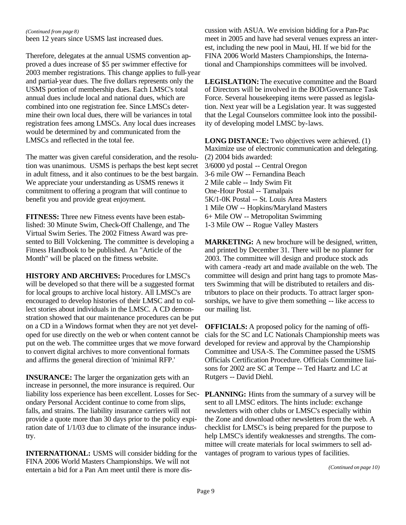#### *(Continued from page 8)*

been 12 years since USMS last increased dues.

Therefore, delegates at the annual USMS convention approved a dues increase of \$5 per swimmer effective for 2003 member registrations. This change applies to full-year and partial-year dues. The five dollars represents only the USMS portion of membership dues. Each LMSC's total annual dues include local and national dues, which are combined into one registration fee. Since LMSCs determine their own local dues, there will be variances in total registration fees among LMSCs. Any local dues increases would be determined by and communicated from the LMSCs and reflected in the total fee.

The matter was given careful consideration, and the resolution was unanimous. USMS is perhaps the best kept secret in adult fitness, and it also continues to be the best bargain. We appreciate your understanding as USMS renews it commitment to offering a program that will continue to benefit you and provide great enjoyment.

**FITNESS:** Three new Fitness events have been established: 30 Minute Swim, Check-Off Challenge, and The Virtual Swim Series. The 2002 Fitness Award was presented to Bill Volckening. The committee is developing a Fitness Handbook to be published. An "Article of the Month" will be placed on the fitness website.

**HISTORY AND ARCHIVES:** Procedures for LMSC's will be developed so that there will be a suggested format for local groups to archive local history. All LMSC's are encouraged to develop histories of their LMSC and to collect stories about individuals in the LMSC. A CD demonstration showed that our maintenance procedures can be put on a CD in a Windows format when they are not yet developed for use directly on the web or when content cannot be put on the web. The committee urges that we move forward to convert digital archives to more conventional formats and affirms the general direction of 'minimal RFP.'

**INSURANCE:** The larger the organization gets with an increase in personnel, the more insurance is required. Our liability loss experience has been excellent. Losses for Secondary Personal Accident continue to come from slips, falls, and strains. The liability insurance carriers will not provide a quote more than 30 days prior to the policy expiration date of 1/1/03 due to climate of the insurance industry.

**INTERNATIONAL:** USMS will consider bidding for the FINA 2006 World Masters Championships. We will not entertain a bid for a Pan Am meet until there is more discussion with ASUA. We envision bidding for a Pan-Pac meet in 2005 and have had several venues express an interest, including the new pool in Maui, HI. If we bid for the FINA 2006 World Masters Championships, the International and Championships committees will be involved.

**LEGISLATION:** The executive committee and the Board of Directors will be involved in the BOD/Governance Task Force. Several housekeeping items were passed as legislation. Next year will be a Legislation year. It was suggested that the Legal Counselors committee look into the possibility of developing model LMSC by-laws.

**LONG DISTANCE:** Two objectives were achieved. (1) Maximize use of electronic communication and delegating. (2) 2004 bids awarded: 3/6000 yd postal -- Central Oregon 3-6 mile OW -- Fernandina Beach 2 Mile cable -- Indy Swim Fit One-Hour Postal -- Tamalpais 5K/1-0K Postal -- St. Louis Area Masters 1 Mile OW -- Hopkins/Maryland Masters 6+ Mile OW -- Metropolitan Swimming 1-3 Mile OW -- Rogue Valley Masters

**MARKETING:** A new brochure will be designed, written, and printed by December 31. There will be no planner for 2003. The committee will design and produce stock ads with camera -ready art and made available on the web. The committee will design and print hang tags to promote Masters Swimming that will be distributed to retailers and distributors to place on their products. To attract larger sponsorships, we have to give them something -- like access to our mailing list.

**OFFICIALS:** A proposed policy for the naming of officials for the SC and LC Nationals Championship meets was developed for review and approval by the Championship Committee and USA-S. The Committee passed the USMS Officials Certification Procedure. Officials Committee liaisons for 2002 are SC at Tempe -- Ted Haartz and LC at Rutgers -- David Diehl.

**PLANNING:** Hints from the summary of a survey will be sent to all LMSC editors. The hints include: exchange newsletters with other clubs or LMSC's especially within the Zone and download other newsletters from the web. A checklist for LMSC's is being prepared for the purpose to help LMSC's identify weaknesses and strengths. The committee will create materials for local swimmers to sell advantages of program to various types of facilities.

*(Continued on page 10)*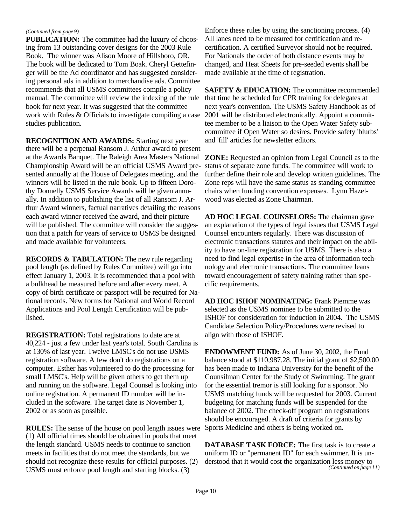#### *(Continued from page 9)*

**PUBLICATION:** The committee had the luxury of choosing from 13 outstanding cover designs for the 2003 Rule Book. The winner was Alison Moore of Hillsboro, OR. The book will be dedicated to Tom Boak. Cheryl Gettefinger will be the Ad coordinator and has suggested considering personal ads in addition to merchandise ads. Committee recommends that all USMS committees compile a policy manual. The committee will review the indexing of the rule book for next year. It was suggested that the committee work with Rules & Officials to investigate compiling a case studies publication.

**RECOGNITION AND AWARDS:** Starting next year there will be a perpetual Ransom J. Arthur award to present at the Awards Banquet. The Raleigh Area Masters National Championship Award will be an official USMS Award presented annually at the House of Delegates meeting, and the winners will be listed in the rule book. Up to fifteen Dorothy Donnelly USMS Service Awards will be given annually. In addition to publishing the list of all Ransom J. Arthur Award winners, factual narratives detailing the reasons each award winner received the award, and their picture will be published. The committee will consider the suggestion that a patch for years of service to USMS be designed and made available for volunteers.

**RECORDS & TABULATION:** The new rule regarding pool length (as defined by Rules Committee) will go into effect January 1, 2003. It is recommended that a pool with a bulkhead be measured before and after every meet. A copy of birth certificate or passport will be required for National records. New forms for National and World Record Applications and Pool Length Certification will be published.

**REGISTRATION:** Total registrations to date are at 40,224 - just a few under last year's total. South Carolina is at 130% of last year. Twelve LMSC's do not use USMS registration software. A few don't do registrations on a computer. Esther has volunteered to do the processing for small LMSC's. Help will be given others to get them up and running on the software. Legal Counsel is looking into online registration. A permanent ID number will be included in the software. The target date is November 1, 2002 or as soon as possible.

**RULES:** The sense of the house on pool length issues were (1) All official times should be obtained in pools that meet the length standard. USMS needs to continue to sanction meets in facilities that do not meet the standards, but we should not recognize these results for official purposes. (2) USMS must enforce pool length and starting blocks. (3)

Enforce these rules by using the sanctioning process. (4) All lanes need to be measured for certification and recertification. A certified Surveyor should not be required. For Nationals the order of both distance events may be changed, and Heat Sheets for pre-seeded events shall be made available at the time of registration.

**SAFETY & EDUCATION:** The committee recommended that time be scheduled for CPR training for delegates at next year's convention. The USMS Safety Handbook as of 2001 will be distributed electronically. Appoint a committee member to be a liaison to the Open Water Safety subcommittee if Open Water so desires. Provide safety 'blurbs' and 'fill' articles for newsletter editors.

**ZONE:** Requested an opinion from Legal Council as to the status of separate zone funds. The committee will work to further define their role and develop written guidelines. The Zone reps will have the same status as standing committee chairs when funding convention expenses. Lynn Hazelwood was elected as Zone Chairman.

**AD HOC LEGAL COUNSELORS:** The chairman gave an explanation of the types of legal issues that USMS Legal Counsel encounters regularly. There was discussion of electronic transactions statutes and their impact on the ability to have on-line registration for USMS. There is also a need to find legal expertise in the area of information technology and electronic transactions. The committee leans toward encouragement of safety training rather than specific requirements.

**AD HOC ISHOF NOMINATING:** Frank Piemme was selected as the USMS nominee to be submitted to the ISHOF for consideration for induction in 2004. The USMS Candidate Selection Policy/Procedures were revised to align with those of ISHOF.

**ENDOWMENT FUND:** As of June 30, 2002, the Fund balance stood at \$110,987.28. The initial grant of \$2,500.00 has been made to Indiana University for the benefit of the Counsilman Center for the Study of Swimming. The grant for the essential tremor is still looking for a sponsor. No USMS matching funds will be requested for 2003. Current budgeting for matching funds will be suspended for the balance of 2002. The check-off program on registrations should be encouraged. A draft of criteria for grants by Sports Medicine and others is being worked on.

**DATABASE TASK FORCE:** The first task is to create a uniform ID or "permanent ID" for each swimmer. It is understood that it would cost the organization less money to *(Continued on page 11)*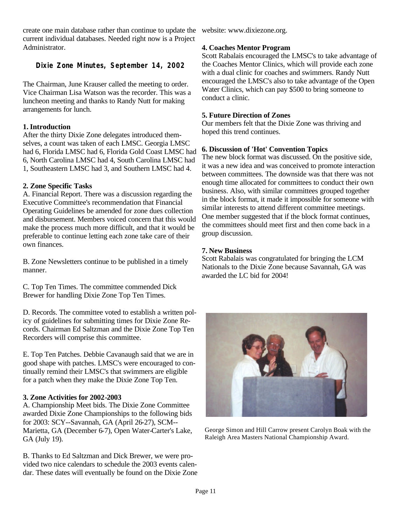create one main database rather than continue to update the website: www.dixiezone.org. current individual databases. Needed right now is a Project Administrator.

#### **Dixie Zone Minutes, September 14, 2002**

The Chairman, June Krauser called the meeting to order. Vice Chairman Lisa Watson was the recorder. This was a luncheon meeting and thanks to Randy Nutt for making arrangements for lunch.

#### **1. Introduction**

After the thirty Dixie Zone delegates introduced themselves, a count was taken of each LMSC. Georgia LMSC had 6, Florida LMSC had 6, Florida Gold Coast LMSC had 6, North Carolina LMSC had 4, South Carolina LMSC had 1, Southeastern LMSC had 3, and Southern LMSC had 4.

#### **2. Zone Specific Tasks**

A. Financial Report. There was a discussion regarding the Executive Committee's recommendation that Financial Operating Guidelines be amended for zone dues collection and disbursement. Members voiced concern that this would make the process much more difficult, and that it would be preferable to continue letting each zone take care of their own finances.

B. Zone Newsletters continue to be published in a timely manner.

C. Top Ten Times. The committee commended Dick Brewer for handling Dixie Zone Top Ten Times.

D. Records. The committee voted to establish a written policy of guidelines for submitting times for Dixie Zone Records. Chairman Ed Saltzman and the Dixie Zone Top Ten Recorders will comprise this committee.

E. Top Ten Patches. Debbie Cavanaugh said that we are in good shape with patches. LMSC's were encouraged to continually remind their LMSC's that swimmers are eligible for a patch when they make the Dixie Zone Top Ten.

#### **3. Zone Activities for 2002-2003**

A. Championship Meet bids. The Dixie Zone Committee awarded Dixie Zone Championships to the following bids for 2003: SCY--Savannah, GA (April 26-27), SCM-- Marietta, GA (December 6-7), Open Water-Carter's Lake, GA (July 19).

B. Thanks to Ed Saltzman and Dick Brewer, we were provided two nice calendars to schedule the 2003 events calendar. These dates will eventually be found on the Dixie Zone

#### **4. Coaches Mentor Program**

Scott Rabalais encouraged the LMSC's to take advantage of the Coaches Mentor Clinics, which will provide each zone with a dual clinic for coaches and swimmers. Randy Nutt encouraged the LMSC's also to take advantage of the Open Water Clinics, which can pay \$500 to bring someone to conduct a clinic.

#### **5. Future Direction of Zones**

Our members felt that the Dixie Zone was thriving and hoped this trend continues.

#### **6. Discussion of 'Hot' Convention Topics**

The new block format was discussed. On the positive side, it was a new idea and was conceived to promote interaction between committees. The downside was that there was not enough time allocated for committees to conduct their own business. Also, with similar committees grouped together in the block format, it made it impossible for someone with similar interests to attend different committee meetings. One member suggested that if the block format continues, the committees should meet first and then come back in a group discussion.

#### **7. New Business**

Scott Rabalais was congratulated for bringing the LCM Nationals to the Dixie Zone because Savannah, GA was awarded the LC bid for 2004!



George Simon and Hill Carrow present Carolyn Boak with the Raleigh Area Masters National Championship Award.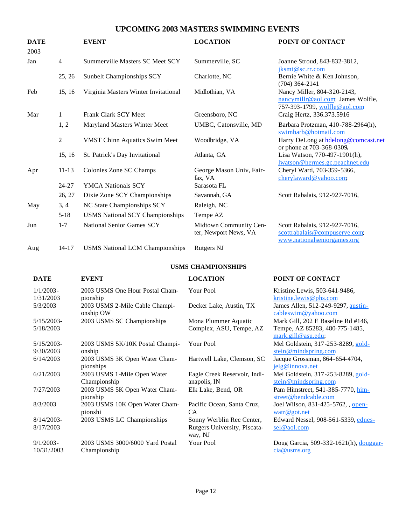#### **UPCOMING 2003 MASTERS SWIMMING EVENTS**

| <b>DATE</b><br>2003 |           | <b>EVENT</b>                           | <b>LOCATION</b>                                 | POINT OF CONTACT                                                                                 |
|---------------------|-----------|----------------------------------------|-------------------------------------------------|--------------------------------------------------------------------------------------------------|
| Jan                 | 4         | Summerville Masters SC Meet SCY        | Summerville, SC                                 | Joanne Stroud, 843-832-3812,<br>jksmt@sc.rr.com                                                  |
|                     | 25, 26    | Sunbelt Championships SCY              | Charlotte, NC                                   | Bernie White & Ken Johnson,<br>$(704)$ 364-2141                                                  |
| Feb                 | 15, 16    | Virginia Masters Winter Invitational   | Midlothian, VA                                  | Nancy Miller, 804-320-2143,<br>nancymillr@aol.com, James Wolfle,<br>757-393-1799, wolfle@aol.com |
| Mar                 | 1         | Frank Clark SCY Meet                   | Greensboro, NC                                  | Craig Hertz, 336.373.5916                                                                        |
|                     | 1, 2      | Maryland Masters Winter Meet           | UMBC, Catonsville, MD                           | Barbara Protzman, 410-788-2964(h),<br>swimbarb@hotmail.com                                       |
|                     | 2         | <b>VMST Chinn Aquatics Swim Meet</b>   | Woodbridge, VA                                  | Harry DeLong at hdelong@comcast.net<br>or phone at 703-368-0309.                                 |
|                     | 15, 16    | St. Patrick's Day Invitational         | Atlanta, GA                                     | Lisa Watson, 770-497-1901(h),<br>lwatson@hermes.gc.peachnet.edu                                  |
| Apr                 | $11 - 13$ | Colonies Zone SC Champs                | George Mason Univ, Fair-<br>fax, VA             | Cheryl Ward, 703-359-5366,<br>cherylaward@yahoo.com;                                             |
|                     | $24 - 27$ | <b>YMCA Nationals SCY</b>              | Sarasota FL                                     |                                                                                                  |
|                     | 26, 27    | Dixie Zone SCY Championships           | Savannah, GA                                    | Scott Rabalais, 912-927-7016,                                                                    |
| May                 | 3, 4      | NC State Championships SCY             | Raleigh, NC                                     |                                                                                                  |
|                     | $5 - 18$  | <b>USMS National SCY Championships</b> | Tempe AZ                                        |                                                                                                  |
| Jun                 | $1 - 7$   | National Senior Games SCY              | Midtown Community Cen-<br>ter, Newport News, VA | Scott Rabalais, 912-927-7016,<br>scottrabalais@compuserve.com;<br>www.nationalseniorgames.org    |
| Aug                 | $14 - 17$ | <b>USMS</b> National LCM Championships | <b>Rutgers NJ</b>                               |                                                                                                  |

#### **USMS CHAMPIONSHIPS**

| <b>DATE</b>               | <b>EVENT</b>                                            | <b>LOCATION</b>                              | <b>POINT OF CONTACT</b>                                                                  |
|---------------------------|---------------------------------------------------------|----------------------------------------------|------------------------------------------------------------------------------------------|
| $1/1/2003 -$<br>1/31/2003 | 2003 USMS One Hour Postal Cham-                         | <b>Your Pool</b>                             | Kristine Lewis, 503-641-9486,                                                            |
| 5/3/2003                  | pionship<br>2003 USMS 2-Mile Cable Champi-<br>onship OW | Decker Lake, Austin, TX                      | kristine.lewis@phs.com<br>James Allen, 512-249-9297, austin-<br>cableswim@yahoo.com      |
| $5/15/2003$ -             | 2003 USMS SC Championships                              | Mona Plummer Aquatic                         | Mark Gill, 202 E Baseline Rd #146,                                                       |
| 5/18/2003                 |                                                         | Complex, ASU, Tempe, AZ                      | Tempe, AZ 85283, 480-775-1485,<br>$mark$ .gill@asu.edu;                                  |
| $5/15/2003$ -             | 2003 USMS 5K/10K Postal Champi-                         | Your Pool                                    | Mel Goldstein, 317-253-8289, gold-                                                       |
| 9/30/2003                 | onship                                                  |                                              | stein@mindspring.com                                                                     |
| 6/14/2003                 | 2003 USMS 3K Open Water Cham-<br>pionships              | Hartwell Lake, Clemson, SC                   | Jacque Grossman, 864-654-4704,<br>jelg@innova.net                                        |
| 6/21/2003                 | 2003 USMS 1-Mile Open Water<br>Championship             | Eagle Creek Reservoir, Indi-<br>anapolis, IN | Mel Goldstein, 317-253-8289, gold-<br>$\underline{\text{stein} @ \text{mindspring.com}}$ |
| 7/27/2003                 | 2003 USMS 5K Open Water Cham-<br>pionship               | Elk Lake, Bend, OR                           | Pam Himstreet, 541-385-7770, him-<br>street@bendcable.com                                |
| 8/3/2003                  | 2003 USMS 10K Open Water Cham-<br>pionshi               | Pacific Ocean, Santa Cruz,<br><b>CA</b>      | Joel Wilson, 831-425-5762, open-<br>$\frac{\text{water@got.net}}{}$                      |
| $8/14/2003$ -             | 2003 USMS LC Championships                              | Sonny Werblin Rec Center,                    | Edward Nessel, 908-561-5339, ednes-                                                      |
| 8/17/2003                 |                                                         | Rutgers University, Piscata-<br>way, NJ      | sel@aol.com                                                                              |
| $9/1/2003 -$              | 2003 USMS 3000/6000 Yard Postal                         | Your Pool                                    | Doug Garcia, 509-332-1621(h), douggar-                                                   |
| 10/31/2003                | Championship                                            |                                              | cia@usms.org                                                                             |
|                           |                                                         |                                              |                                                                                          |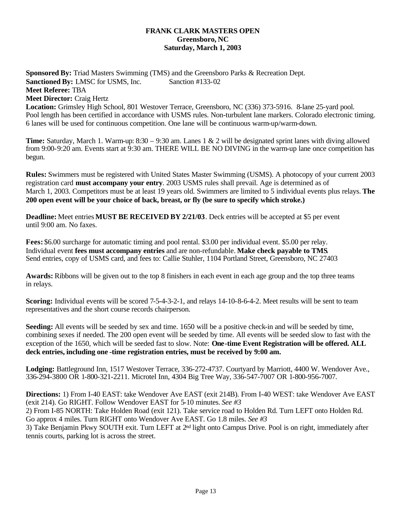#### **FRANK CLARK MASTERS OPEN Greensboro, NC Saturday, March 1, 2003**

**Sponsored By:** Triad Masters Swimming (TMS) and the Greensboro Parks & Recreation Dept. **Sanctioned By:** LMSC for USMS, Inc. Sanction #133-02 **Meet Referee:** TBA **Meet Director:** Craig Hertz **Location:** Grimsley High School, 801 Westover Terrace, Greensboro, NC (336) 373-5916. 8-lane 25-yard pool.

Pool length has been certified in accordance with USMS rules. Non-turbulent lane markers. Colorado electronic timing. 6 lanes will be used for continuous competition. One lane will be continuous warm-up/warm-down.

**Time:** Saturday, March 1. Warm-up: 8:30 – 9:30 am. Lanes 1 & 2 will be designated sprint lanes with diving allowed from 9:00-9:20 am. Events start at 9:30 am. THERE WILL BE NO DIVING in the warm-up lane once competition has begun.

**Rules:** Swimmers must be registered with United States Master Swimming (USMS). A photocopy of your current 2003 registration card **must accompany your entry**. 2003 USMS rules shall prevail. Age is determined as of March 1, 2003. Competitors must be at least 19 years old. Swimmers are limited to 5 individual events plus relays. **The 200 open event will be your choice of back, breast, or fly (be sure to specify which stroke.)**

**Deadline:** Meet entries **MUST BE RECEIVED BY 2/21/03**. Deck entries will be accepted at \$5 per event until 9:00 am. No faxes.

**Fees:** \$6.00 surcharge for automatic timing and pool rental. \$3.00 per individual event. \$5.00 per relay. Individual event **fees must accompany entries** and are non-refundable. **Make check payable to TMS**. Send entries, copy of USMS card, and fees to: Callie Stuhler, 1104 Portland Street, Greensboro, NC 27403

**Awards:** Ribbons will be given out to the top 8 finishers in each event in each age group and the top three teams in relays.

**Scoring:** Individual events will be scored 7-5-4-3-2-1, and relays 14-10-8-6-4-2. Meet results will be sent to team representatives and the short course records chairperson.

**Seeding:** All events will be seeded by sex and time. 1650 will be a positive check-in and will be seeded by time, combining sexes if needed. The 200 open event will be seeded by time. All events will be seeded slow to fast with the exception of the 1650, which will be seeded fast to slow. Note: **One-time Event Registration will be offered. ALL deck entries, including one -time registration entries, must be received by 9:00 am.** 

**Lodging:** Battleground Inn, 1517 Westover Terrace, 336-272-4737. Courtyard by Marriott, 4400 W. Wendover Ave., 336-294-3800 OR 1-800-321-2211. Microtel Inn, 4304 Big Tree Way, 336-547-7007 OR 1-800-956-7007.

**Directions:** 1) From I-40 EAST: take Wendover Ave EAST (exit 214B). From I-40 WEST: take Wendover Ave EAST (exit 214). Go RIGHT. Follow Wendover EAST for 5-10 minutes. *See #3* 2) From I-85 NORTH: Take Holden Road (exit 121). Take service road to Holden Rd. Turn LEFT onto Holden Rd.

Go approx 4 miles. Turn RIGHT onto Wendover Ave EAST. Go 1.8 miles. *See #3*

3) Take Benjamin Pkwy SOUTH exit. Turn LEFT at 2nd light onto Campus Drive. Pool is on right, immediately after tennis courts, parking lot is across the street.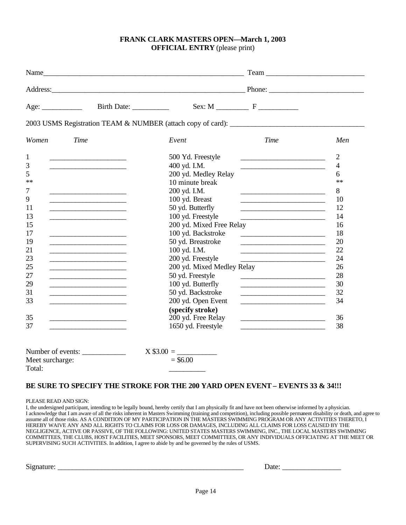#### **FRANK CLARK MASTERS OPEN—March 1, 2003 OFFICIAL ENTRY** (please print)

|                 |                                                                                                                       | Address: Phone: Phone: Phone: Phone: Phone: Phone: Phone: Phone: Phone: Phone: Phone: Phone: Phone: Phone: Phone: Phone: Phone: Phone: Phone: Phone: Phone: Phone: Phone: Phone: Phone: Phone: Phone: Phone: Phone: Phone: Pho |                                                                                                                       |                |
|-----------------|-----------------------------------------------------------------------------------------------------------------------|--------------------------------------------------------------------------------------------------------------------------------------------------------------------------------------------------------------------------------|-----------------------------------------------------------------------------------------------------------------------|----------------|
| Age:            |                                                                                                                       | $Sex: M$ $F$                                                                                                                                                                                                                   |                                                                                                                       |                |
|                 |                                                                                                                       |                                                                                                                                                                                                                                |                                                                                                                       |                |
| Women           | <b>Time</b>                                                                                                           | Event                                                                                                                                                                                                                          | Time                                                                                                                  | Men            |
| $\mathbf{1}$    |                                                                                                                       | 500 Yd. Freestyle                                                                                                                                                                                                              | <u> 1999 - Johann Harry Harry Harry Harry Harry Harry Harry Harry Harry Harry Harry Harry Harry Harry Harry Harry</u> | $\overline{2}$ |
| 3               |                                                                                                                       | 400 yd. I.M.                                                                                                                                                                                                                   |                                                                                                                       | $\overline{4}$ |
| 5               |                                                                                                                       | 200 yd. Medley Relay                                                                                                                                                                                                           |                                                                                                                       | 6              |
| $**$            |                                                                                                                       | 10 minute break                                                                                                                                                                                                                |                                                                                                                       | $**$           |
| 7               | <u> 1989 - Johann Stein, mars an t-Amerikaansk kommunister (</u>                                                      | 200 yd. I.M.                                                                                                                                                                                                                   |                                                                                                                       | 8              |
| 9               | <u> 1989 - Johann Stein, mars an t-Amerikaansk kommunister (</u>                                                      | 100 yd. Breast                                                                                                                                                                                                                 |                                                                                                                       | 10             |
| 11              | <u> 1989 - Johann Barn, mars and de Branch Barn, mars and de Branch Barn, mars and de Branch Barn, mars and de Br</u> | 50 yd. Butterfly                                                                                                                                                                                                               | <u> 2000 - Andrea Albert III, poet et al. et al. et al. et al. et al. et al. et al. et al. et al. et al. et al. e</u> | 12             |
| 13              | <u> 1989 - Johann Barbara, martin amerikan ba</u>                                                                     | 100 yd. Freestyle                                                                                                                                                                                                              |                                                                                                                       | 14             |
| 15              |                                                                                                                       | 200 yd. Mixed Free Relay                                                                                                                                                                                                       |                                                                                                                       | 16             |
| 17              | <u> 1989 - Johann Barn, mars eta bainar eta idazlea (</u>                                                             | 100 yd. Backstroke                                                                                                                                                                                                             |                                                                                                                       | 18             |
| 19              |                                                                                                                       | 50 yd. Breastroke                                                                                                                                                                                                              | <u> 2000 - Jan James James Jan James James James James James James James James James James James James James Jam</u>  | 20             |
| 21              | the contract of the contract of the contract of the contract of                                                       | 100 yd. I.M.                                                                                                                                                                                                                   | <u> 2008 - John Stone, Amerikaans en Stone (</u>                                                                      | 22             |
| 23              |                                                                                                                       | 200 yd. Freestyle                                                                                                                                                                                                              | <u> 1980 - Johann Barbara, martin amerikan ba</u>                                                                     | 24             |
| 25              | <u> 1989 - Johann Barbara, martin a</u>                                                                               | 200 yd. Mixed Medley Relay                                                                                                                                                                                                     |                                                                                                                       | 26             |
| 27              |                                                                                                                       | 50 yd. Freestyle                                                                                                                                                                                                               |                                                                                                                       | 28             |
| 29              |                                                                                                                       | 100 yd. Butterfly                                                                                                                                                                                                              |                                                                                                                       | 30             |
| 31              | <u> 1989 - Johann Barn, mars and de Branch Barn, mars and de Branch Barn, mars and de Branch Barn, mars and de Br</u> | 50 yd. Backstroke                                                                                                                                                                                                              |                                                                                                                       | 32             |
| 33              | <u> 1989 - Johann Barbara, martxa al III-lea (h. 1989).</u>                                                           | 200 yd. Open Event                                                                                                                                                                                                             |                                                                                                                       | 34             |
|                 |                                                                                                                       | (specify stroke)                                                                                                                                                                                                               |                                                                                                                       |                |
| 35              |                                                                                                                       | 200 yd. Free Relay                                                                                                                                                                                                             | <u> 1999 - Johann Barn, fransk politik amerikansk politik (</u>                                                       | 36             |
| 37              |                                                                                                                       | 1650 yd. Freestyle                                                                                                                                                                                                             |                                                                                                                       | 38             |
|                 |                                                                                                                       |                                                                                                                                                                                                                                |                                                                                                                       |                |
|                 | Number of events:                                                                                                     | $=$ \$6.00                                                                                                                                                                                                                     |                                                                                                                       |                |
| Meet surcharge: |                                                                                                                       |                                                                                                                                                                                                                                |                                                                                                                       |                |
| Total:          |                                                                                                                       |                                                                                                                                                                                                                                |                                                                                                                       |                |

#### **BE SURE TO SPECIFY THE STROKE FOR THE 200 YARD OPEN EVENT – EVENTS 33 & 34!!!**

PLEASE READ AND SIGN:

I, the undersigned participant, intending to be legally bound, hereby certify that I am physically fit and have not been otherwise informed by a physician. I acknowledge that I am aware of all the risks inherent in Masters Swimming (training and competition), including possible permanent disability or death, and agree to assume all of those risks. AS A CONDITION OF MY PARTICIPATION IN THE MASTERS SWIMMING PROGRAM OR ANY ACTIVITIES THERETO, I HEREBY WAIVE ANY AND ALL RIGHTS TO CLAIMS FOR LOSS OR DAMAGES, INCLUDING ALL CLAIMS FOR LOSS CAUSED BY THE NEGLIGENCE, ACTIVE OR PASSIVE, OF THE FOLLOWING: UNITED STATES MASTERS SWIMMING, INC., THE LOCAL MASTERS SWIMMING COMMITTEES, THE CLUBS, HOST FACILITIES, MEET SPONSORS, MEET COMMITTEES, OR ANY INDIVIDUALS OFFICIATING AT THE MEET OR SUPERVISING SUCH ACTIVITIES. In addition, I agree to abide by and be governed by the rules of USMS.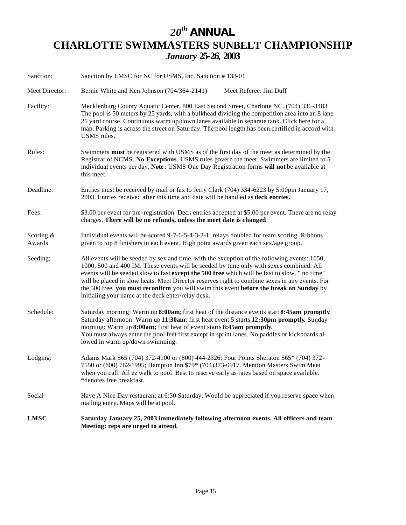## *20th ANNUAL* **CHARLOTTE SWIMMASTERS SUNBELT CHAMPIONSHIP** *January* **25-26, 2003**

| Sanction:             | Sanction by LMSC for NC for USMS, Inc. Sanction #133-01                                                                                                                                                                                                                                                                                                                                                                                                                                                                                     |  |  |
|-----------------------|---------------------------------------------------------------------------------------------------------------------------------------------------------------------------------------------------------------------------------------------------------------------------------------------------------------------------------------------------------------------------------------------------------------------------------------------------------------------------------------------------------------------------------------------|--|--|
| Meet Director:        | Bernie White and Ken Johnson (704/364-2141)<br>Meet Referee: Jim Duff                                                                                                                                                                                                                                                                                                                                                                                                                                                                       |  |  |
| Facility:             | Mecklenburg County Aquatic Center, 800 East Second Street, Charlotte NC. (704) 336-3483<br>The pool is 50 meters by 25 yards, with a bulkhead dividing the competition area into an 8 lane<br>25 yard course. Continuous warm up/down lanes available in separate tank. Click here for a<br>map. Parking is across the street on Saturday. The pool length has been certified in accord with<br>USMS rules.                                                                                                                                 |  |  |
| Rules:                | Swimmers must be registered with USMS as of the first day of the meet as determined by the<br>Registrar of NCMS. No Exceptions. USMS rules govern the meet. Swimmers are limited to 5<br>individual events per day. Note: USMS One Day Registration forms will not be available at<br>this meet.                                                                                                                                                                                                                                            |  |  |
| Deadline:             | Entries must be received by mail or fax to Jerry Clark (704) 334-6223 by 5:00pm January 17,<br>2003. Entries received after this time and date will be handled as <b>deck entries.</b>                                                                                                                                                                                                                                                                                                                                                      |  |  |
| Fees:                 | \$3.00 per event for pre-registration. Deck entries accepted at \$5.00 per event. There are no relay<br>charges. There will be no refunds, unless the meet date is changed.                                                                                                                                                                                                                                                                                                                                                                 |  |  |
| Scoring $&$<br>Awards | Individual events will be scored 9-7-6-5-4-3-2-1; relays doubled for team scoring. Ribbons<br>given to top 8 finishers in each event. High point awards given each sex/age group.                                                                                                                                                                                                                                                                                                                                                           |  |  |
| Seeding:              | All events will be seeded by sex and time, with the exception of the following events: 1650,<br>1000, 500 and 400 IM. These events will be seeded by time only with sexes combined. All<br>events will be seeded slow to fast except the 500 free which will be fast to slow. " no time"<br>will be placed in slow heats. Meet Director reserves right to combine sexes in any events. For<br>the 500 free, you must reconfirm you will swim this event before the break on Sunday by<br>initialing your name at the deck enter/relay desk. |  |  |
| Schedule:             | Saturday morning: Warm up 8:00am; first heat of the distance events start 8:45am promptly.<br>Saturday afternoon: Warm up 11:30am; first heat event 5 starts 12:30pm promptly. Sunday<br>morning: Warm up 8:00am; first heat of event starts 8:45am promptly.<br>You must always enter the pool feet first except in sprint lanes. No paddles or kickboards al-<br>lowed in warm up/down swimming.                                                                                                                                          |  |  |
| Lodging:              | Adams Mark \$65 (704) 372-4100 or (800) 444-2326; Four Points Sheraton \$65* (704) 372-<br>7550 or (800) 762-1995; Hampton Inn \$79* (704)373-0917. Mention Masters Swim Meet<br>when you call. All ez walk to pool. Best to reserve early as rates based on space available.<br>*denotes free breakfast.                                                                                                                                                                                                                                   |  |  |
| Social                | Have A Nice Day restaurant at 6:30 Saturday. Would be appreciated if you reserve space when<br>mailing entry. Maps will be at pool.                                                                                                                                                                                                                                                                                                                                                                                                         |  |  |
| <b>LMSC</b>           | Saturday January 25, 2003 immediately following afternoon events. All officers and team<br>Meeting: reps are urged to attend.                                                                                                                                                                                                                                                                                                                                                                                                               |  |  |